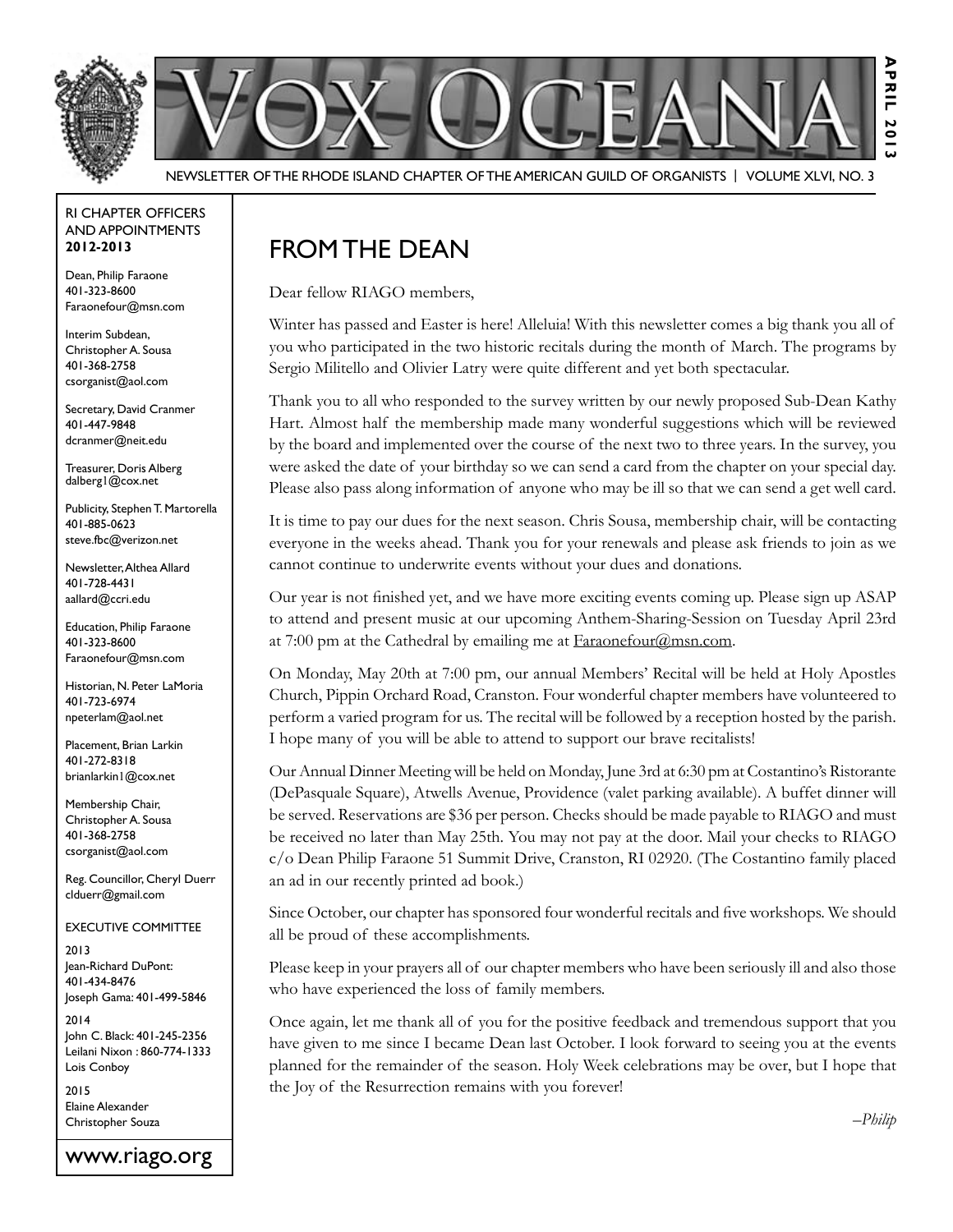

Newsletter of the Rhode Island Chapter of the American Guild of OrganistS | Volume XLVI, No. 3

#### RI Chapter Officers and Appointments **2012-2013**

Dean, Philip Faraone 401-323-8600 Faraonefour@msn.com

Interim Subdean, Christopher A. Sousa 401-368-2758 csorganist@aol.com

Secretary, David Cranmer 401-447-9848 dcranmer@neit.edu

Treasurer, Doris Alberg dalberg1@cox.net

Publicity, Stephen T. Martorella 401-885-0623 steve.fbc@verizon.net

Newsletter, Althea Allard 401-728-4431 aallard@ccri.edu

Education, Philip Faraone 401-323-8600 Faraonefour@msn.com

Historian, N. Peter LaMoria 401-723-6974 npeterlam@aol.net

Placement, Brian Larkin 401-272-8318 brianlarkin1@cox.net

Membership Chair, Christopher A. Sousa 401-368-2758 csorganist@aol.com

Reg. Councillor, Cheryl Duerr clduerr@gmail.com

Executive Committee

2013 Jean-Richard DuPont: 401-434-8476 Joseph Gama: 401-499-5846

2014 John C. Black: 401-245-2356 Leilani Nixon : 860-774-1333 Lois Conboy

2015 Elaine Alexander Christopher Souza

www.riago.org

### From the Dean

Dear fellow RIAGO members,

Winter has passed and Easter is here! Alleluia! With this newsletter comes a big thank you all of you who participated in the two historic recitals during the month of March. The programs by Sergio Militello and Olivier Latry were quite different and yet both spectacular.

Thank you to all who responded to the survey written by our newly proposed Sub-Dean Kathy Hart. Almost half the membership made many wonderful suggestions which will be reviewed by the board and implemented over the course of the next two to three years. In the survey, you were asked the date of your birthday so we can send a card from the chapter on your special day. Please also pass along information of anyone who may be ill so that we can send a get well card.

It is time to pay our dues for the next season. Chris Sousa, membership chair, will be contacting everyone in the weeks ahead. Thank you for your renewals and please ask friends to join as we cannot continue to underwrite events without your dues and donations.

Our year is not finished yet, and we have more exciting events coming up. Please sign up ASAP to attend and present music at our upcoming Anthem-Sharing-Session on Tuesday April 23rd at 7:00 pm at the Cathedral by emailing me at Faraonefour@msn.com.

On Monday, May 20th at 7:00 pm, our annual Members' Recital will be held at Holy Apostles Church, Pippin Orchard Road, Cranston. Four wonderful chapter members have volunteered to perform a varied program for us. The recital will be followed by a reception hosted by the parish. I hope many of you will be able to attend to support our brave recitalists!

Our Annual Dinner Meeting will be held on Monday, June 3rd at 6:30 pm at Costantino's Ristorante (DePasquale Square), Atwells Avenue, Providence (valet parking available). A buffet dinner will be served. Reservations are \$36 per person. Checks should be made payable to RIAGO and must be received no later than May 25th. You may not pay at the door. Mail your checks to RIAGO c/o Dean Philip Faraone 51 Summit Drive, Cranston, RI 02920. (The Costantino family placed an ad in our recently printed ad book.)

Since October, our chapter has sponsored four wonderful recitals and five workshops. We should all be proud of these accomplishments.

Please keep in your prayers all of our chapter members who have been seriously ill and also those who have experienced the loss of family members.

Once again, let me thank all of you for the positive feedback and tremendous support that you have given to me since I became Dean last October. I look forward to seeing you at the events planned for the remainder of the season. Holy Week celebrations may be over, but I hope that the Joy of the Resurrection remains with you forever!